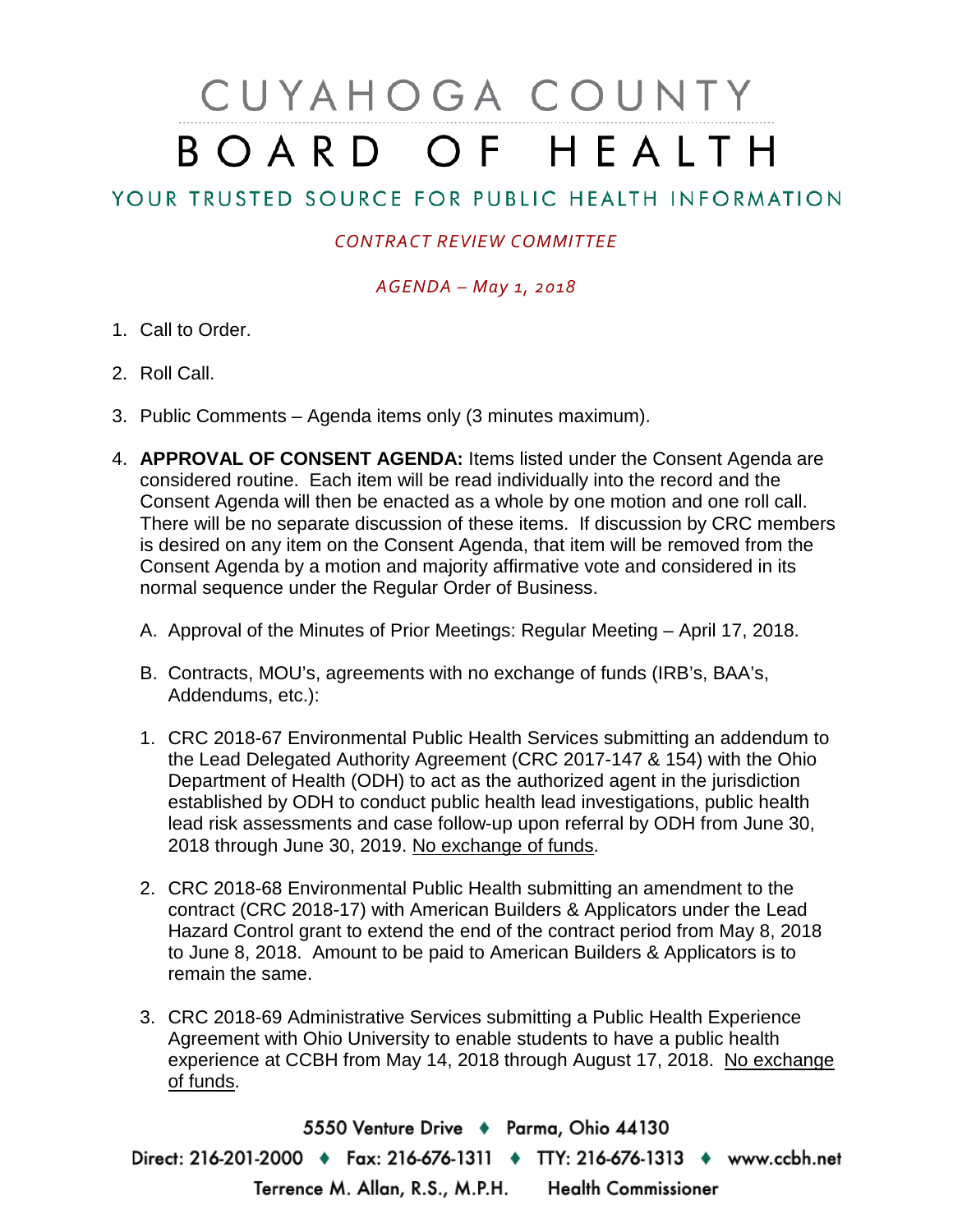# CUYAHOGA COUNTY BOARD OF HEALTH

## YOUR TRUSTED SOURCE FOR PUBLIC HEALTH INFORMATION

### *CONTRACT REVIEW COMMITTEE*

#### *AGENDA – May 1, 2018*

- 1. Call to Order.
- 2. Roll Call.
- 3. Public Comments Agenda items only (3 minutes maximum).
- 4. **APPROVAL OF CONSENT AGENDA:** Items listed under the Consent Agenda are considered routine. Each item will be read individually into the record and the Consent Agenda will then be enacted as a whole by one motion and one roll call. There will be no separate discussion of these items. If discussion by CRC members is desired on any item on the Consent Agenda, that item will be removed from the Consent Agenda by a motion and majority affirmative vote and considered in its normal sequence under the Regular Order of Business.
	- A. Approval of the Minutes of Prior Meetings: Regular Meeting April 17, 2018.
	- B. Contracts, MOU's, agreements with no exchange of funds (IRB's, BAA's, Addendums, etc.):
	- 1. CRC 2018-67 Environmental Public Health Services submitting an addendum to the Lead Delegated Authority Agreement (CRC 2017-147 & 154) with the Ohio Department of Health (ODH) to act as the authorized agent in the jurisdiction established by ODH to conduct public health lead investigations, public health lead risk assessments and case follow-up upon referral by ODH from June 30, 2018 through June 30, 2019. No exchange of funds.
	- 2. CRC 2018-68 Environmental Public Health submitting an amendment to the contract (CRC 2018-17) with American Builders & Applicators under the Lead Hazard Control grant to extend the end of the contract period from May 8, 2018 to June 8, 2018. Amount to be paid to American Builders & Applicators is to remain the same.
	- 3. CRC 2018-69 Administrative Services submitting a Public Health Experience Agreement with Ohio University to enable students to have a public health experience at CCBH from May 14, 2018 through August 17, 2018. No exchange of funds.

5550 Venture Drive + Parma, Ohio 44130 Direct: 216-201-2000 • Fax: 216-676-1311 • TTY: 216-676-1313 • www.ccbh.net Terrence M. Allan, R.S., M.P.H. Health Commissioner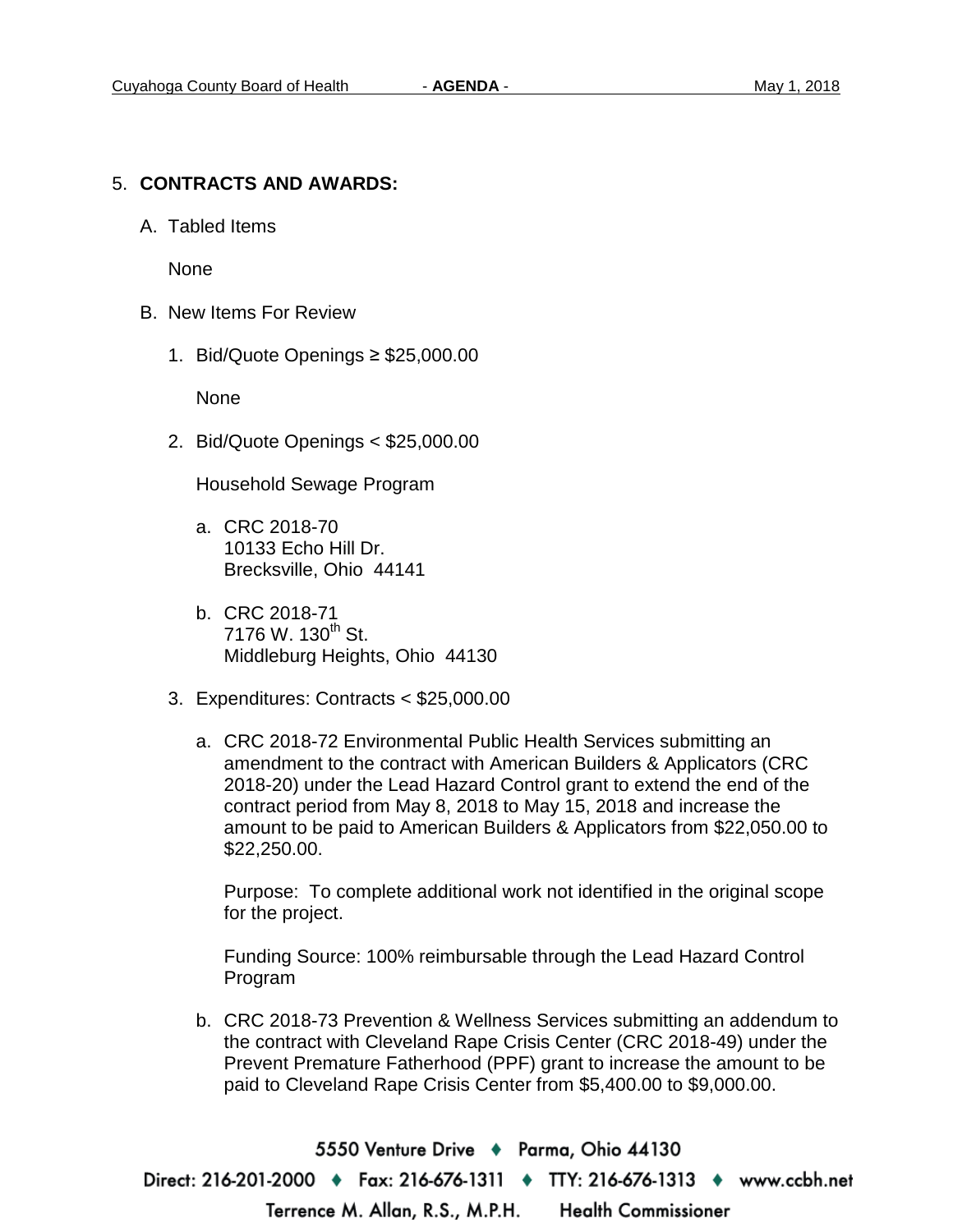#### 5. **CONTRACTS AND AWARDS:**

A. Tabled Items

None

- B. New Items For Review
	- 1. Bid/Quote Openings ≥ \$25,000.00

None

2. Bid/Quote Openings < \$25,000.00

Household Sewage Program

- a. CRC 2018-70 10133 Echo Hill Dr. Brecksville, Ohio 44141
- b. CRC 2018-71  $7176$  W.  $130^{th}$  St. Middleburg Heights, Ohio 44130
- 3. Expenditures: Contracts < \$25,000.00
	- a. CRC 2018-72 Environmental Public Health Services submitting an amendment to the contract with American Builders & Applicators (CRC 2018-20) under the Lead Hazard Control grant to extend the end of the contract period from May 8, 2018 to May 15, 2018 and increase the amount to be paid to American Builders & Applicators from \$22,050.00 to \$22,250.00.

Purpose: To complete additional work not identified in the original scope for the project.

Funding Source: 100% reimbursable through the Lead Hazard Control Program

b. CRC 2018-73 Prevention & Wellness Services submitting an addendum to the contract with Cleveland Rape Crisis Center (CRC 2018-49) under the Prevent Premature Fatherhood (PPF) grant to increase the amount to be paid to Cleveland Rape Crisis Center from \$5,400.00 to \$9,000.00.

5550 Venture Drive → Parma, Ohio 44130 Direct: 216-201-2000 ♦ Fax: 216-676-1311 ♦ TTY: 216-676-1313 ♦ www.ccbh.net Terrence M. Allan, R.S., M.P.H. **Health Commissioner**